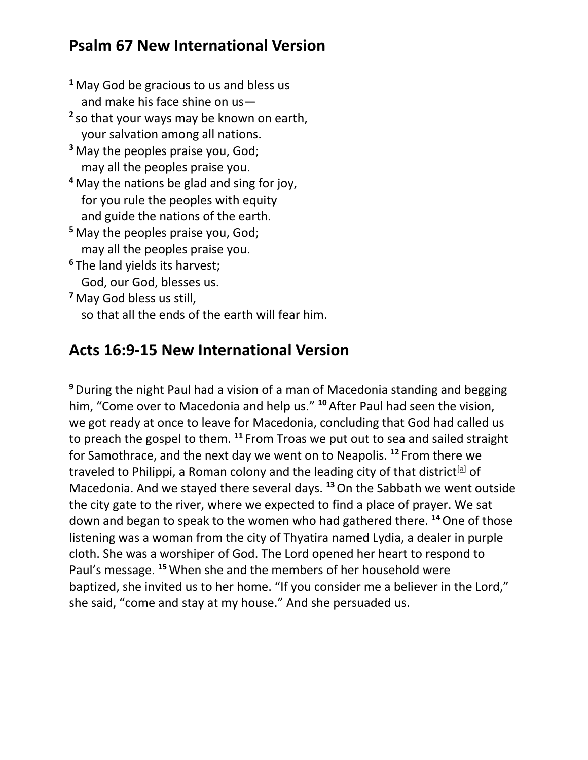## **Psalm 67 New International Version**

**<sup>1</sup>** May God be gracious to us and bless us and make his face shine on us— **2** so that your ways may be known on earth, your salvation among all nations. **<sup>3</sup>** May the peoples praise you, God; may all the peoples praise you. **<sup>4</sup>** May the nations be glad and sing for joy, for you rule the peoples with equity and guide the nations of the earth. **<sup>5</sup>** May the peoples praise you, God; may all the peoples praise you. **<sup>6</sup>** The land yields its harvest; God, our God, blesses us. **<sup>7</sup>** May God bless us still, so that all the ends of the earth will fear him.

## **Acts 16:9-15 New International Version**

**<sup>9</sup>**During the night Paul had a vision of a man of Macedonia standing and begging him, "Come over to Macedonia and help us." **<sup>10</sup>** After Paul had seen the vision, we got ready at once to leave for Macedonia, concluding that God had called us to preach the gospel to them. **<sup>11</sup>** From Troas we put out to sea and sailed straight for Samothrace, and the next day we went on to Neapolis. **<sup>12</sup>** From there we traveled to Philippi, a Roman colony and the leading city of that district<sup>[\[a\]](https://www.biblegateway.com/passage/?search=Acts+16%3A9-15&version=NIV#fen-NIV-27496a)</sup> of Macedonia. And we stayed there several days. **<sup>13</sup>**On the Sabbath we went outside the city gate to the river, where we expected to find a place of prayer. We sat down and began to speak to the women who had gathered there. **<sup>14</sup>**One of those listening was a woman from the city of Thyatira named Lydia, a dealer in purple cloth. She was a worshiper of God. The Lord opened her heart to respond to Paul's message. **<sup>15</sup>**When she and the members of her household were baptized, she invited us to her home. "If you consider me a believer in the Lord," she said, "come and stay at my house." And she persuaded us.